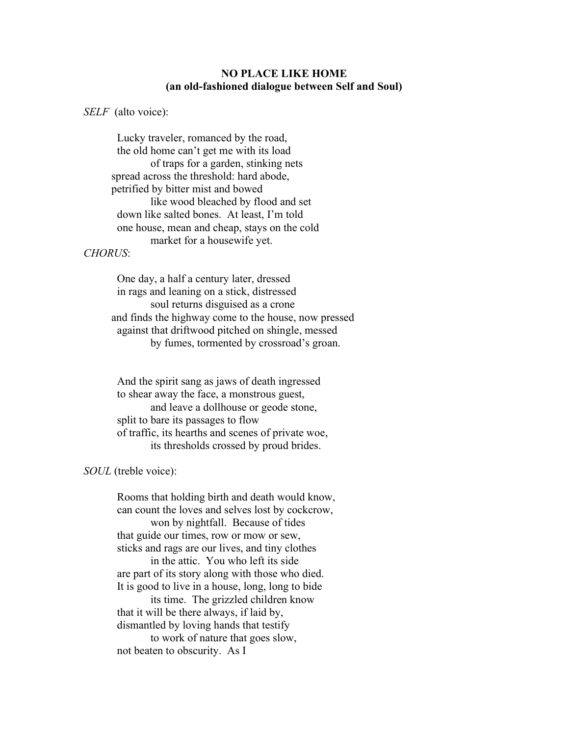## NO PLACE LIKE HOME (an old-fashioned dialogue between Self and Soul)

SELF (alto voice):

 Lucky traveler, romanced by the road, the old home can't get me with its load of traps for a garden, stinking nets spread across the threshold: hard abode, petrified by bitter mist and bowed like wood bleached by flood and set down like salted bones. At least, I'm told one house, mean and cheap, stays on the cold market for a housewife yet.

## CHORUS:

 One day, a half a century later, dressed in rags and leaning on a stick, distressed soul returns disguised as a crone and finds the highway come to the house, now pressed against that driftwood pitched on shingle, messed by fumes, tormented by crossroad's groan.

 And the spirit sang as jaws of death ingressed to shear away the face, a monstrous guest, and leave a dollhouse or geode stone, split to bare its passages to flow of traffic, its hearths and scenes of private woe, its thresholds crossed by proud brides.

## SOUL (treble voice):

 Rooms that holding birth and death would know, can count the loves and selves lost by cockcrow, won by nightfall. Because of tides that guide our times, row or mow or sew, sticks and rags are our lives, and tiny clothes in the attic. You who left its side are part of its story along with those who died. It is good to live in a house, long, long to bide its time. The grizzled children know that it will be there always, if laid by, dismantled by loving hands that testify to work of nature that goes slow, not beaten to obscurity. As I